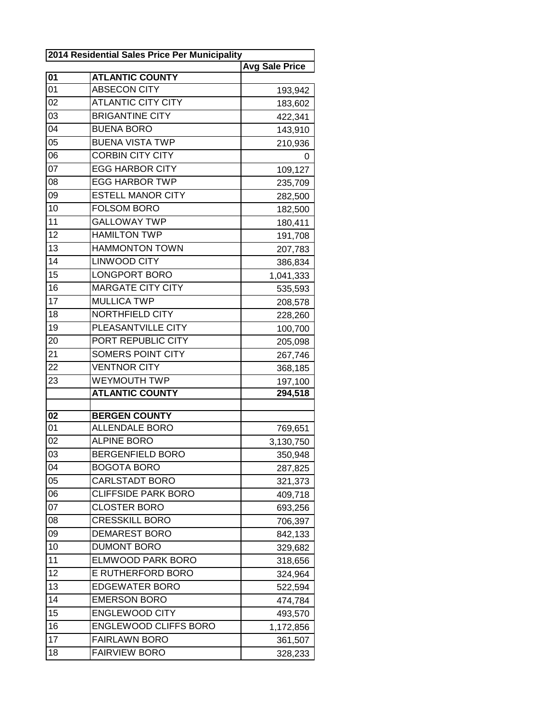| 2014 Residential Sales Price Per Municipality |                              |                       |
|-----------------------------------------------|------------------------------|-----------------------|
|                                               |                              | <b>Avg Sale Price</b> |
| 01                                            | <b>ATLANTIC COUNTY</b>       |                       |
| 01                                            | <b>ABSECON CITY</b>          | 193,942               |
| 02                                            | <b>ATLANTIC CITY CITY</b>    | 183,602               |
| 03                                            | <b>BRIGANTINE CITY</b>       | 422,341               |
| 04                                            | <b>BUENA BORO</b>            | 143,910               |
| 05                                            | <b>BUENA VISTA TWP</b>       | 210,936               |
| 06                                            | <b>CORBIN CITY CITY</b>      | 0                     |
| 07                                            | <b>EGG HARBOR CITY</b>       | 109,127               |
| 08                                            | <b>EGG HARBOR TWP</b>        | 235,709               |
| 09                                            | <b>ESTELL MANOR CITY</b>     | 282,500               |
| 10                                            | <b>FOLSOM BORO</b>           | 182,500               |
| 11                                            | <b>GALLOWAY TWP</b>          | 180,411               |
| 12                                            | <b>HAMILTON TWP</b>          | 191,708               |
| 13                                            | <b>HAMMONTON TOWN</b>        | 207,783               |
| 14                                            | <b>LINWOOD CITY</b>          | 386,834               |
| 15                                            | <b>LONGPORT BORO</b>         | 1,041,333             |
| 16                                            | <b>MARGATE CITY CITY</b>     | 535,593               |
| 17                                            | <b>MULLICA TWP</b>           | 208,578               |
| 18                                            | NORTHFIELD CITY              | 228,260               |
| 19                                            | PLEASANTVILLE CITY           | 100,700               |
| 20                                            | PORT REPUBLIC CITY           | 205,098               |
| 21                                            | <b>SOMERS POINT CITY</b>     | 267,746               |
| 22                                            | <b>VENTNOR CITY</b>          | 368,185               |
| 23                                            | <b>WEYMOUTH TWP</b>          | 197,100               |
|                                               | <b>ATLANTIC COUNTY</b>       | 294,518               |
| 02                                            | <b>BERGEN COUNTY</b>         |                       |
| 01                                            | <b>ALLENDALE BORO</b>        | 769,651               |
| 02                                            | <b>ALPINE BORO</b>           | 3,130,750             |
| 03                                            | <b>BERGENFIELD BORO</b>      | 350,948               |
| 04                                            | <b>BOGOTA BORO</b>           | 287,825               |
| 05                                            | <b>CARLSTADT BORO</b>        | 321,373               |
| 06                                            | <b>CLIFFSIDE PARK BORO</b>   | 409,718               |
| 07                                            | <b>CLOSTER BORO</b>          | 693,256               |
| 08                                            | <b>CRESSKILL BORO</b>        | 706,397               |
| 09                                            | <b>DEMAREST BORO</b>         | 842,133               |
| 10                                            | <b>DUMONT BORO</b>           | 329,682               |
| 11                                            | <b>ELMWOOD PARK BORO</b>     | 318,656               |
| 12                                            | <b>E RUTHERFORD BORO</b>     | 324,964               |
| 13                                            | <b>EDGEWATER BORO</b>        | 522,594               |
| 14                                            | <b>EMERSON BORO</b>          | 474,784               |
| 15                                            | <b>ENGLEWOOD CITY</b>        | 493,570               |
| 16                                            | <b>ENGLEWOOD CLIFFS BORO</b> | 1,172,856             |
| 17                                            | <b>FAIRLAWN BORO</b>         | 361,507               |
| 18                                            | <b>FAIRVIEW BORO</b>         | 328,233               |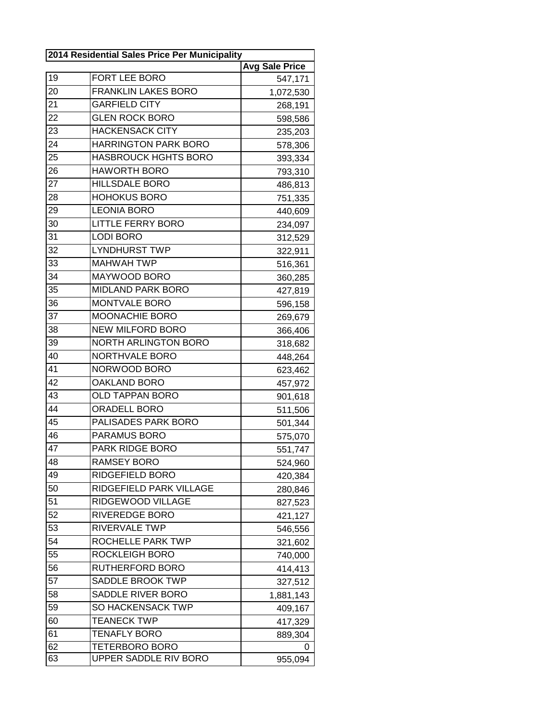| 2014 Residential Sales Price Per Municipality |                             |                       |
|-----------------------------------------------|-----------------------------|-----------------------|
|                                               |                             | <b>Avg Sale Price</b> |
| 19                                            | FORT LEE BORO               | 547,171               |
| 20                                            | <b>FRANKLIN LAKES BORO</b>  | 1,072,530             |
| 21                                            | <b>GARFIELD CITY</b>        | 268,191               |
| 22                                            | <b>GLEN ROCK BORO</b>       | 598,586               |
| 23                                            | <b>HACKENSACK CITY</b>      | 235,203               |
| 24                                            | <b>HARRINGTON PARK BORO</b> | 578,306               |
| 25                                            | <b>HASBROUCK HGHTS BORO</b> | 393,334               |
| 26                                            | <b>HAWORTH BORO</b>         | 793,310               |
| 27                                            | <b>HILLSDALE BORO</b>       | 486,813               |
| 28                                            | <b>HOHOKUS BORO</b>         | 751,335               |
| 29                                            | <b>LEONIA BORO</b>          | 440,609               |
| 30                                            | <b>LITTLE FERRY BORO</b>    | 234,097               |
| 31                                            | <b>LODI BORO</b>            | 312,529               |
| 32                                            | <b>LYNDHURST TWP</b>        | 322,911               |
| 33                                            | <b>MAHWAH TWP</b>           | 516,361               |
| 34                                            | MAYWOOD BORO                | 360,285               |
| 35                                            | <b>MIDLAND PARK BORO</b>    | 427,819               |
| 36                                            | MONTVALE BORO               | 596,158               |
| 37                                            | MOONACHIE BORO              | 269,679               |
| 38                                            | <b>NEW MILFORD BORO</b>     | 366,406               |
| 39                                            | <b>NORTH ARLINGTON BORO</b> | 318,682               |
| 40                                            | NORTHVALE BORO              | 448,264               |
| 41                                            | NORWOOD BORO                | 623,462               |
| 42                                            | <b>OAKLAND BORO</b>         | 457,972               |
| 43                                            | <b>OLD TAPPAN BORO</b>      | 901,618               |
| 44                                            | ORADELL BORO                | 511,506               |
| 45                                            | PALISADES PARK BORO         | 501,344               |
| 46                                            | PARAMUS BORO                | 575,070               |
| 47                                            | PARK RIDGE BORO             | 551,747               |
| 48                                            | <b>RAMSEY BORO</b>          | 524,960               |
| 49                                            | RIDGEFIELD BORO             | 420,384               |
| 50                                            | RIDGEFIELD PARK VILLAGE     | 280,846               |
| 51                                            | RIDGEWOOD VILLAGE           | 827,523               |
| 52                                            | RIVEREDGE BORO              | 421,127               |
| 53                                            | RIVERVALE TWP               | 546,556               |
| 54                                            | ROCHELLE PARK TWP           | 321,602               |
| 55                                            | ROCKLEIGH BORO              | 740,000               |
| 56                                            | RUTHERFORD BORO             | 414,413               |
| 57                                            | SADDLE BROOK TWP            | 327,512               |
| 58                                            | SADDLE RIVER BORO           | 1,881,143             |
| 59                                            | <b>SO HACKENSACK TWP</b>    | 409,167               |
| 60                                            | <b>TEANECK TWP</b>          | 417,329               |
| 61                                            | <b>TENAFLY BORO</b>         | 889,304               |
| 62                                            | <b>TETERBORO BORO</b>       | 0                     |
| 63                                            | UPPER SADDLE RIV BORO       | 955,094               |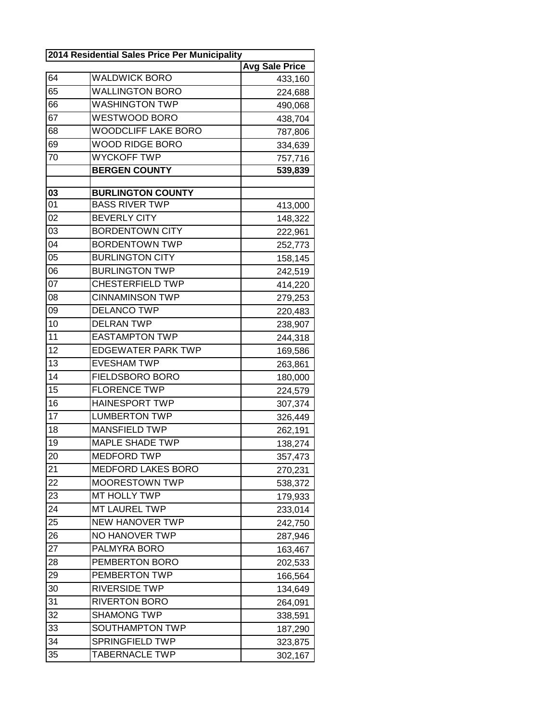| 2014 Residential Sales Price Per Municipality |                            |                       |
|-----------------------------------------------|----------------------------|-----------------------|
|                                               |                            | <b>Avg Sale Price</b> |
| 64                                            | <b>WALDWICK BORO</b>       | 433,160               |
| 65                                            | <b>WALLINGTON BORO</b>     | 224,688               |
| 66                                            | <b>WASHINGTON TWP</b>      | 490,068               |
| $\overline{67}$                               | WESTWOOD BORO              | 438,704               |
| 68                                            | <b>WOODCLIFF LAKE BORO</b> | 787,806               |
| 69                                            | <b>WOOD RIDGE BORO</b>     | 334,639               |
| 70                                            | <b>WYCKOFF TWP</b>         | 757,716               |
|                                               | <b>BERGEN COUNTY</b>       | 539,839               |
|                                               |                            |                       |
| 03                                            | <b>BURLINGTON COUNTY</b>   |                       |
| 01                                            | <b>BASS RIVER TWP</b>      | 413,000               |
| 02                                            | <b>BEVERLY CITY</b>        | 148,322               |
| 03                                            | <b>BORDENTOWN CITY</b>     | 222,961               |
| 04                                            | <b>BORDENTOWN TWP</b>      | 252,773               |
| 05                                            | <b>BURLINGTON CITY</b>     | 158,145               |
| 06                                            | <b>BURLINGTON TWP</b>      | 242,519               |
| 07                                            | <b>CHESTERFIELD TWP</b>    | 414,220               |
| 08                                            | <b>CINNAMINSON TWP</b>     | 279,253               |
| 09                                            | <b>DELANCO TWP</b>         | 220,483               |
| 10                                            | <b>DELRAN TWP</b>          | 238,907               |
| 11                                            | <b>EASTAMPTON TWP</b>      | 244,318               |
| 12                                            | <b>EDGEWATER PARK TWP</b>  | 169,586               |
| 13                                            | <b>EVESHAM TWP</b>         | 263,861               |
| 14                                            | FIELDSBORO BORO            | 180,000               |
| 15                                            | <b>FLORENCE TWP</b>        | 224,579               |
| 16                                            | <b>HAINESPORT TWP</b>      | 307,374               |
| 17                                            | <b>LUMBERTON TWP</b>       | 326,449               |
| 18                                            | <b>MANSFIELD TWP</b>       | 262,191               |
| 19                                            | <b>MAPLE SHADE TWP</b>     | 138,274               |
| 20                                            | MEDFORD TWP                | 357,473               |
| 21                                            | <b>MEDFORD LAKES BORO</b>  | 270,231               |
| 22                                            | <b>MOORESTOWN TWP</b>      | 538,372               |
| 23                                            | MT HOLLY TWP               | 179,933               |
| 24                                            | MT LAUREL TWP              | 233,014               |
| 25                                            | <b>NEW HANOVER TWP</b>     | 242,750               |
| 26                                            | NO HANOVER TWP             | 287,946               |
| 27                                            | PALMYRA BORO               | 163,467               |
| 28                                            | PEMBERTON BORO             | 202,533               |
| 29                                            | PEMBERTON TWP              | 166,564               |
| 30                                            | RIVERSIDE TWP              | 134,649               |
| 31                                            | <b>RIVERTON BORO</b>       | 264,091               |
| 32                                            | <b>SHAMONG TWP</b>         | 338,591               |
| 33                                            | SOUTHAMPTON TWP            | 187,290               |
| 34                                            | SPRINGFIELD TWP            | 323,875               |
| 35                                            | TABERNACLE TWP             | 302,167               |
|                                               |                            |                       |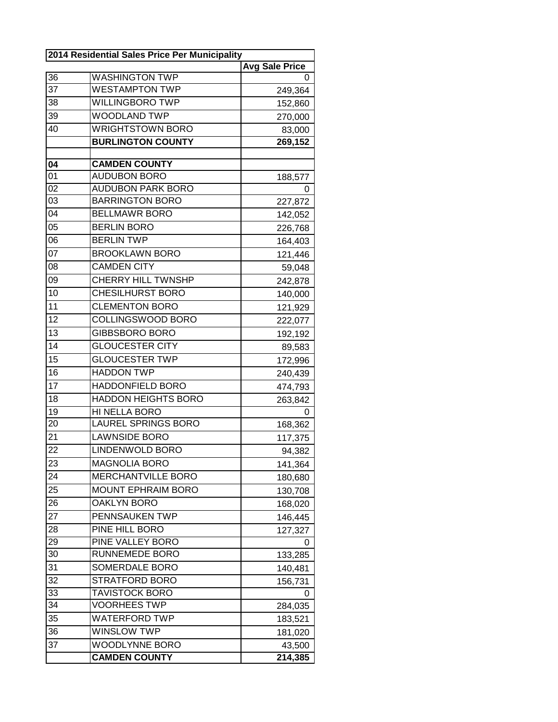| 2014 Residential Sales Price Per Municipality |                            |                       |
|-----------------------------------------------|----------------------------|-----------------------|
|                                               |                            | <b>Avg Sale Price</b> |
| 36                                            | <b>WASHINGTON TWP</b>      | 0                     |
| 37                                            | <b>WESTAMPTON TWP</b>      | 249,364               |
| 38                                            | <b>WILLINGBORO TWP</b>     | 152,860               |
| 39                                            | <b>WOODLAND TWP</b>        | 270,000               |
| 40                                            | <b>WRIGHTSTOWN BORO</b>    | 83,000                |
|                                               | <b>BURLINGTON COUNTY</b>   | 269,152               |
|                                               |                            |                       |
| 04                                            | <b>CAMDEN COUNTY</b>       |                       |
| 01                                            | <b>AUDUBON BORO</b>        | 188,577               |
| 02                                            | <b>AUDUBON PARK BORO</b>   | 0                     |
| 03                                            | <b>BARRINGTON BORO</b>     | 227,872               |
| 04                                            | <b>BELLMAWR BORO</b>       | 142,052               |
| 05                                            | <b>BERLIN BORO</b>         | 226,768               |
| 06                                            | <b>BERLIN TWP</b>          | 164,403               |
| 07                                            | <b>BROOKLAWN BORO</b>      | 121,446               |
| 08                                            | <b>CAMDEN CITY</b>         | 59,048                |
| 09                                            | <b>CHERRY HILL TWNSHP</b>  | 242,878               |
| 10                                            | <b>CHESILHURST BORO</b>    | 140,000               |
| 11                                            | <b>CLEMENTON BORO</b>      | 121,929               |
| 12                                            | COLLINGSWOOD BORO          | 222,077               |
| 13                                            | <b>GIBBSBORO BORO</b>      | 192,192               |
| 14                                            | <b>GLOUCESTER CITY</b>     | 89,583                |
| 15                                            | <b>GLOUCESTER TWP</b>      | 172,996               |
| 16                                            | <b>HADDON TWP</b>          | 240,439               |
| 17                                            | HADDONFIELD BORO           | 474,793               |
| 18                                            | <b>HADDON HEIGHTS BORO</b> | 263,842               |
| 19                                            | HI NELLA BORO              | O                     |
| 20                                            | <b>LAUREL SPRINGS BORO</b> | 168,362               |
| 21                                            | <b>LAWNSIDE BORO</b>       | 117,375               |
| 22                                            | LINDENWOLD BORO            | 94,382                |
| 23                                            | <b>MAGNOLIA BORO</b>       | 141,364               |
| 24                                            | <b>MERCHANTVILLE BORO</b>  | 180,680               |
| 25                                            | <b>MOUNT EPHRAIM BORO</b>  | 130,708               |
| 26                                            | <b>OAKLYN BORO</b>         | 168,020               |
| 27                                            | PENNSAUKEN TWP             | 146,445               |
| 28                                            | PINE HILL BORO             | 127,327               |
| 29                                            | PINE VALLEY BORO           | 0                     |
| 30                                            | RUNNEMEDE BORO             | 133,285               |
| 31                                            | SOMERDALE BORO             | 140,481               |
| 32                                            | STRATFORD BORO             | 156,731               |
| 33                                            | <b>TAVISTOCK BORO</b>      | 0                     |
| 34                                            | <b>VOORHEES TWP</b>        | 284,035               |
| 35                                            | <b>WATERFORD TWP</b>       | 183,521               |
| 36                                            | <b>WINSLOW TWP</b>         | 181,020               |
| 37                                            | <b>WOODLYNNE BORO</b>      | 43,500                |
|                                               | <b>CAMDEN COUNTY</b>       | 214,385               |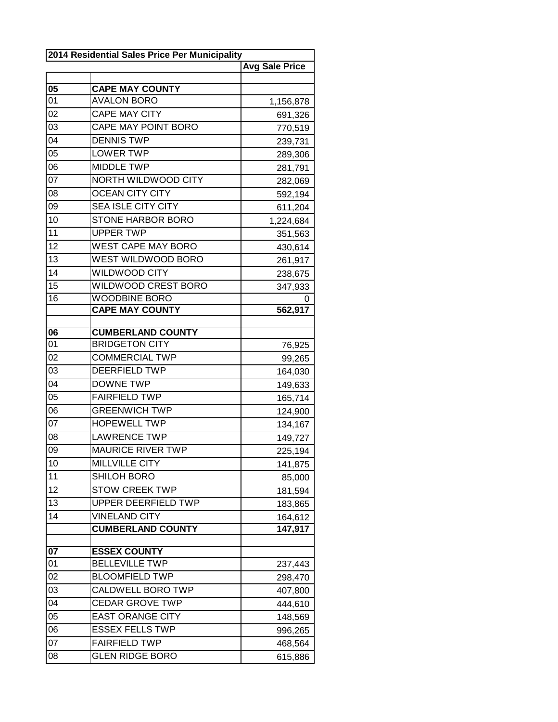| 2014 Residential Sales Price Per Municipality |                                              |                       |
|-----------------------------------------------|----------------------------------------------|-----------------------|
|                                               |                                              | <b>Avg Sale Price</b> |
|                                               |                                              |                       |
| 05                                            | <b>CAPE MAY COUNTY</b>                       |                       |
| 01                                            | <b>AVALON BORO</b>                           | 1,156,878             |
| 02                                            | <b>CAPE MAY CITY</b>                         | 691,326               |
| 03                                            | CAPE MAY POINT BORO                          | 770,519               |
| 04                                            | <b>DENNIS TWP</b>                            | 239,731               |
| 05                                            | <b>LOWER TWP</b>                             | 289,306               |
| 06                                            | <b>MIDDLE TWP</b>                            | 281,791               |
| 07                                            | NORTH WILDWOOD CITY                          | 282,069               |
| 08                                            | <b>OCEAN CITY CITY</b>                       | 592,194               |
| 09                                            | <b>SEA ISLE CITY CITY</b>                    | 611,204               |
| 10                                            | <b>STONE HARBOR BORO</b>                     | 1,224,684             |
| 11                                            | <b>UPPER TWP</b>                             | 351,563               |
| 12                                            | <b>WEST CAPE MAY BORO</b>                    | 430,614               |
| 13                                            | WEST WILDWOOD BORO                           | 261,917               |
| 14                                            | WILDWOOD CITY                                | 238,675               |
| 15                                            | WILDWOOD CREST BORO                          | 347,933               |
| 16                                            | <b>WOODBINE BORO</b>                         | 0                     |
|                                               | <b>CAPE MAY COUNTY</b>                       | 562,917               |
|                                               |                                              |                       |
| 06                                            | <b>CUMBERLAND COUNTY</b>                     |                       |
| 01                                            | <b>BRIDGETON CITY</b>                        | 76,925                |
| 02                                            | <b>COMMERCIAL TWP</b>                        | 99,265                |
| 03                                            | <b>DEERFIELD TWP</b>                         | 164,030               |
| 04                                            | <b>DOWNE TWP</b>                             | 149,633               |
| $0\overline{5}$                               | <b>FAIRFIELD TWP</b>                         | 165,714               |
| 06                                            | <b>GREENWICH TWP</b>                         | 124,900               |
| 07                                            | <b>HOPEWELL TWP</b>                          | 134,167               |
| 08                                            | <b>LAWRENCE TWP</b>                          | 149,727               |
| 09                                            | <b>MAURICE RIVER TWP</b>                     | 225,194               |
| 10                                            | <b>MILLVILLE CITY</b>                        | 141,875               |
| 11                                            | <b>SHILOH BORO</b>                           | 85,000                |
| 12                                            | <b>STOW CREEK TWP</b>                        | 181,594               |
| 13                                            | UPPER DEERFIELD TWP                          | 183,865               |
| 14                                            | <b>VINELAND CITY</b>                         | 164,612               |
|                                               | <b>CUMBERLAND COUNTY</b>                     | 147,917               |
| 07                                            |                                              |                       |
| 01                                            | <b>ESSEX COUNTY</b><br><b>BELLEVILLE TWP</b> | 237,443               |
| 02                                            | <b>BLOOMFIELD TWP</b>                        |                       |
| 03                                            | CALDWELL BORO TWP                            | 298,470               |
|                                               |                                              | 407,800               |
| 04                                            | <b>CEDAR GROVE TWP</b>                       | 444,610               |
| 05                                            | <b>EAST ORANGE CITY</b>                      | 148,569               |
| 06                                            | <b>ESSEX FELLS TWP</b>                       | 996,265               |
| 07                                            | <b>FAIRFIELD TWP</b>                         | 468,564               |
| 08                                            | <b>GLEN RIDGE BORO</b>                       | 615,886               |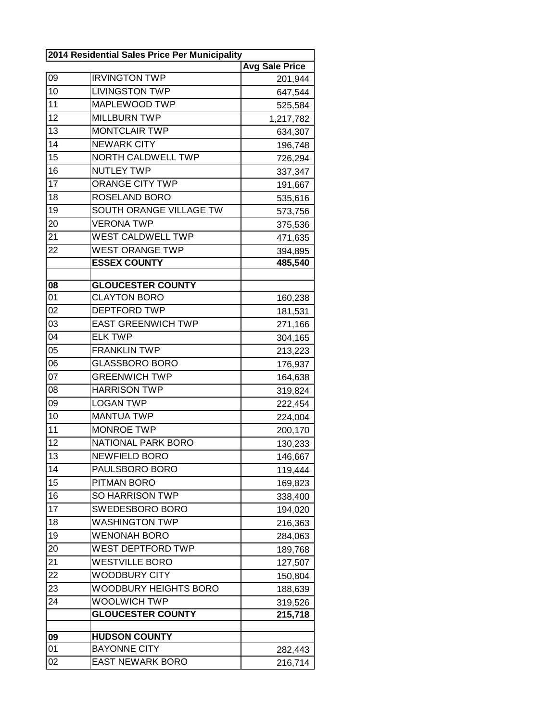| 2014 Residential Sales Price Per Municipality |                           |                       |
|-----------------------------------------------|---------------------------|-----------------------|
|                                               |                           | <b>Avg Sale Price</b> |
| 09                                            | <b>IRVINGTON TWP</b>      | 201,944               |
| 10                                            | <b>LIVINGSTON TWP</b>     | 647,544               |
| 11                                            | MAPLEWOOD TWP             | 525,584               |
| 12                                            | <b>MILLBURN TWP</b>       | 1,217,782             |
| 13                                            | <b>MONTCLAIR TWP</b>      | 634,307               |
| 14                                            | <b>NEWARK CITY</b>        | 196,748               |
| 15                                            | NORTH CALDWELL TWP        | 726,294               |
| 16                                            | <b>NUTLEY TWP</b>         | 337,347               |
| 17                                            | <b>ORANGE CITY TWP</b>    | 191,667               |
| 18                                            | ROSELAND BORO             | 535,616               |
| 19                                            | SOUTH ORANGE VILLAGE TW   | 573,756               |
| 20                                            | <b>VERONA TWP</b>         | 375,536               |
| 21                                            | <b>WEST CALDWELL TWP</b>  | 471,635               |
| 22                                            | <b>WEST ORANGE TWP</b>    | 394,895               |
|                                               | <b>ESSEX COUNTY</b>       | 485,540               |
|                                               |                           |                       |
| 08                                            | <b>GLOUCESTER COUNTY</b>  |                       |
| 01                                            | <b>CLAYTON BORO</b>       | 160,238               |
| 02                                            | <b>DEPTFORD TWP</b>       | 181,531               |
| 03                                            | <b>EAST GREENWICH TWP</b> | 271,166               |
| 04                                            | <b>ELK TWP</b>            | 304,165               |
| 05                                            | <b>FRANKLIN TWP</b>       | 213,223               |
| 06                                            | <b>GLASSBORO BORO</b>     | 176,937               |
| 07                                            | <b>GREENWICH TWP</b>      | 164,638               |
| 08                                            | <b>HARRISON TWP</b>       | 319,824               |
| 09                                            | <b>LOGAN TWP</b>          | 222,454               |
| 10                                            | <b>MANTUA TWP</b>         | 224,004               |
| 11                                            | <b>MONROE TWP</b>         | 200,170               |
| 12                                            | NATIONAL PARK BORO        | 130,233               |
| 13                                            | NEWFIELD BORO             | 146,667               |
| 14                                            | PAULSBORO BORO            | 119,444               |
| 15                                            | PITMAN BORO               | 169,823               |
| 16                                            | <b>SO HARRISON TWP</b>    | 338,400               |
| 17                                            | SWEDESBORO BORO           | 194,020               |
| 18                                            | <b>WASHINGTON TWP</b>     | 216,363               |
| 19                                            | <b>WENONAH BORO</b>       | 284,063               |
| 20                                            | WEST DEPTFORD TWP         | 189,768               |
| 21                                            | <b>WESTVILLE BORO</b>     | 127,507               |
| 22                                            | WOODBURY CITY             | 150,804               |
| 23                                            | WOODBURY HEIGHTS BORO     | 188,639               |
| 24                                            | <b>WOOLWICH TWP</b>       | 319,526               |
|                                               | <b>GLOUCESTER COUNTY</b>  | 215,718               |
|                                               |                           |                       |
| 09                                            | <b>HUDSON COUNTY</b>      |                       |
| 01                                            | <b>BAYONNE CITY</b>       | 282,443               |
| 02                                            | <b>EAST NEWARK BORO</b>   | 216,714               |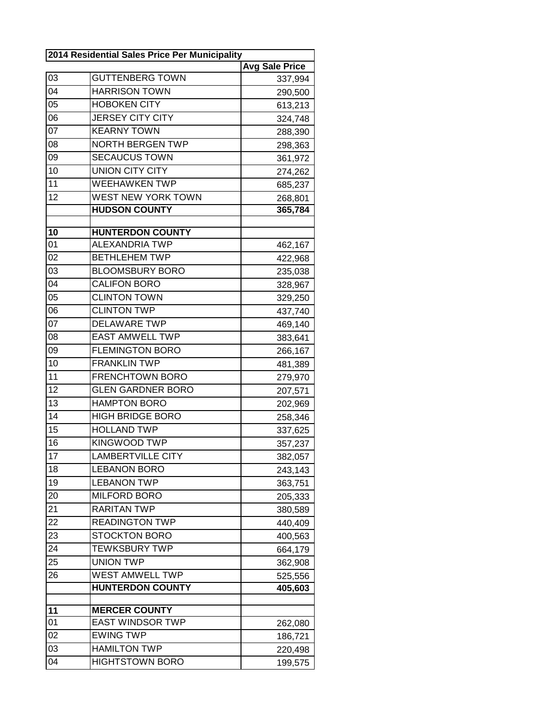| 2014 Residential Sales Price Per Municipality |                           |                       |
|-----------------------------------------------|---------------------------|-----------------------|
|                                               |                           | <b>Avg Sale Price</b> |
| 03                                            | <b>GUTTENBERG TOWN</b>    | 337,994               |
| 04                                            | <b>HARRISON TOWN</b>      | 290,500               |
| 05                                            | <b>HOBOKEN CITY</b>       | 613,213               |
| 06                                            | <b>JERSEY CITY CITY</b>   | 324,748               |
| $0\overline{7}$                               | <b>KEARNY TOWN</b>        | 288,390               |
| 08                                            | <b>NORTH BERGEN TWP</b>   | 298,363               |
| 09                                            | <b>SECAUCUS TOWN</b>      | 361,972               |
| 10                                            | <b>UNION CITY CITY</b>    | 274,262               |
| 11                                            | <b>WEEHAWKEN TWP</b>      | 685,237               |
| 12                                            | <b>WEST NEW YORK TOWN</b> | 268,801               |
|                                               | <b>HUDSON COUNTY</b>      | 365,784               |
|                                               |                           |                       |
| 10                                            | <b>HUNTERDON COUNTY</b>   |                       |
| 01                                            | <b>ALEXANDRIA TWP</b>     | 462,167               |
| 02                                            | <b>BETHLEHEM TWP</b>      | 422,968               |
| 03                                            | <b>BLOOMSBURY BORO</b>    | 235,038               |
| 04                                            | <b>CALIFON BORO</b>       | 328,967               |
| 05                                            | <b>CLINTON TOWN</b>       | 329,250               |
| 06                                            | <b>CLINTON TWP</b>        | 437,740               |
| 07                                            | <b>DELAWARE TWP</b>       | 469,140               |
| 08                                            | <b>EAST AMWELL TWP</b>    | 383,641               |
| 09                                            | <b>FLEMINGTON BORO</b>    | 266,167               |
| 10                                            | <b>FRANKLIN TWP</b>       | 481,389               |
| 11                                            | <b>FRENCHTOWN BORO</b>    | 279,970               |
| 12                                            | <b>GLEN GARDNER BORO</b>  | 207,571               |
| 13                                            | <b>HAMPTON BORO</b>       | 202,969               |
| 14                                            | <b>HIGH BRIDGE BORO</b>   | 258,346               |
| 15                                            | <b>HOLLAND TWP</b>        | 337,625               |
| 16                                            | <b>KINGWOOD TWP</b>       | 357,237               |
| 17                                            | <b>LAMBERTVILLE CITY</b>  | 382,057               |
| 18                                            | <b>LEBANON BORO</b>       | 243,143               |
| 19                                            | <b>LEBANON TWP</b>        | 363,751               |
| 20                                            | <b>MILFORD BORO</b>       | 205,333               |
| 21                                            | <b>RARITAN TWP</b>        | 380,589               |
| 22                                            | <b>READINGTON TWP</b>     | 440,409               |
| 23                                            | <b>STOCKTON BORO</b>      | 400,563               |
| 24                                            | <b>TEWKSBURY TWP</b>      | 664,179               |
| 25                                            | <b>UNION TWP</b>          | 362,908               |
| 26                                            | <b>WEST AMWELL TWP</b>    | 525,556               |
|                                               | <b>HUNTERDON COUNTY</b>   | 405,603               |
|                                               |                           |                       |
| 11                                            | <b>MERCER COUNTY</b>      |                       |
| 01                                            | <b>EAST WINDSOR TWP</b>   | 262,080               |
| 02                                            | <b>EWING TWP</b>          | 186,721               |
| 03                                            | <b>HAMILTON TWP</b>       | 220,498               |
| 04                                            | <b>HIGHTSTOWN BORO</b>    | 199,575               |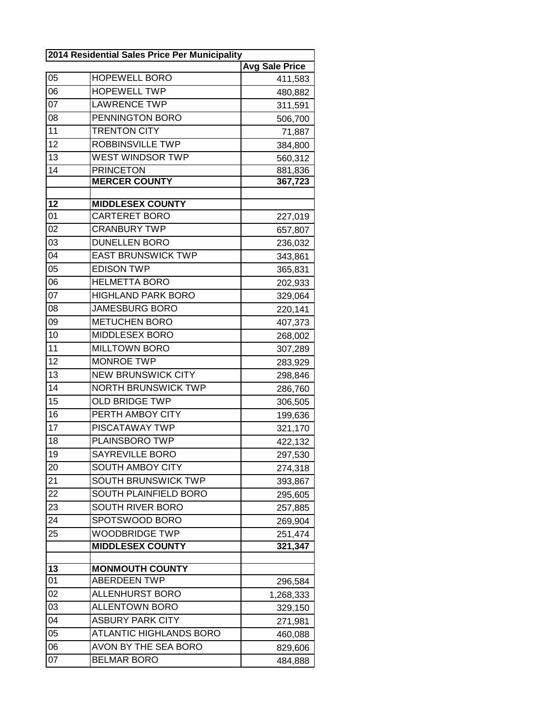| 2014 Residential Sales Price Per Municipality |                                                 |                       |
|-----------------------------------------------|-------------------------------------------------|-----------------------|
|                                               |                                                 | <b>Avg Sale Price</b> |
| 05                                            | <b>HOPEWELL BORO</b>                            | 411,583               |
| 06                                            | <b>HOPEWELL TWP</b>                             | 480,882               |
| 07                                            | <b>LAWRENCE TWP</b>                             | 311,591               |
| 08                                            | PENNINGTON BORO                                 | 506,700               |
| 11                                            | <b>TRENTON CITY</b>                             | 71,887                |
| 12                                            | ROBBINSVILLE TWP                                | 384,800               |
| 13                                            | WEST WINDSOR TWP                                | 560,312               |
| 14                                            | <b>PRINCETON</b>                                | 881,836               |
|                                               | <b>MERCER COUNTY</b>                            | 367,723               |
|                                               |                                                 |                       |
| 12<br>01                                      | <b>MIDDLESEX COUNTY</b><br><b>CARTERET BORO</b> |                       |
| 02                                            | <b>CRANBURY TWP</b>                             | 227,019               |
|                                               | <b>DUNELLEN BORO</b>                            | 657,807               |
| 03<br>04                                      |                                                 | 236,032               |
|                                               | <b>EAST BRUNSWICK TWP</b>                       | 343,861               |
| 05                                            | <b>EDISON TWP</b>                               | 365,831               |
| 06                                            | <b>HELMETTA BORO</b>                            | 202,933               |
| 07                                            | <b>HIGHLAND PARK BORO</b>                       | 329,064               |
| 08                                            | <b>JAMESBURG BORO</b>                           | 220,141               |
| 09                                            | <b>METUCHEN BORO</b>                            | 407,373               |
| 10                                            | MIDDLESEX BORO                                  | 268,002               |
| 11                                            | <b>MILLTOWN BORO</b>                            | 307,289               |
| 12                                            | <b>MONROE TWP</b>                               | 283,929               |
| 13                                            | <b>NEW BRUNSWICK CITY</b>                       | 298,846               |
| 14                                            | <b>NORTH BRUNSWICK TWP</b>                      | 286,760               |
| 15                                            | <b>OLD BRIDGE TWP</b>                           | 306,505               |
| 16                                            | PERTH AMBOY CITY                                | 199,636               |
| 17                                            | PISCATAWAY TWP                                  | 321,170               |
| 18                                            | PLAINSBORO TWP                                  | 422,132               |
| 19                                            | SAYREVILLE BORO                                 | 297,530               |
| 20                                            | SOUTH AMBOY CITY                                | 274,318               |
| 21                                            | <b>SOUTH BRUNSWICK TWP</b>                      | 393,867               |
| 22                                            | SOUTH PLAINFIELD BORO                           | 295,605               |
| 23                                            | SOUTH RIVER BORO                                | 257,885               |
| 24                                            | SPOTSWOOD BORO                                  | 269,904               |
| 25                                            | <b>WOODBRIDGE TWP</b>                           | 251,474               |
|                                               | <b>MIDDLESEX COUNTY</b>                         | 321,347               |
|                                               |                                                 |                       |
| 13                                            | <b>MONMOUTH COUNTY</b>                          |                       |
| 01                                            | <b>ABERDEEN TWP</b>                             | 296,584               |
| 02                                            | <b>ALLENHURST BORO</b>                          | 1,268,333             |
| 03                                            | <b>ALLENTOWN BORO</b>                           | 329,150               |
| 04                                            | <b>ASBURY PARK CITY</b>                         | 271,981               |
| 05                                            | <b>ATLANTIC HIGHLANDS BORO</b>                  | 460,088               |
| 06                                            | AVON BY THE SEA BORO                            | 829,606               |
| 07                                            | <b>BELMAR BORO</b>                              | 484,888               |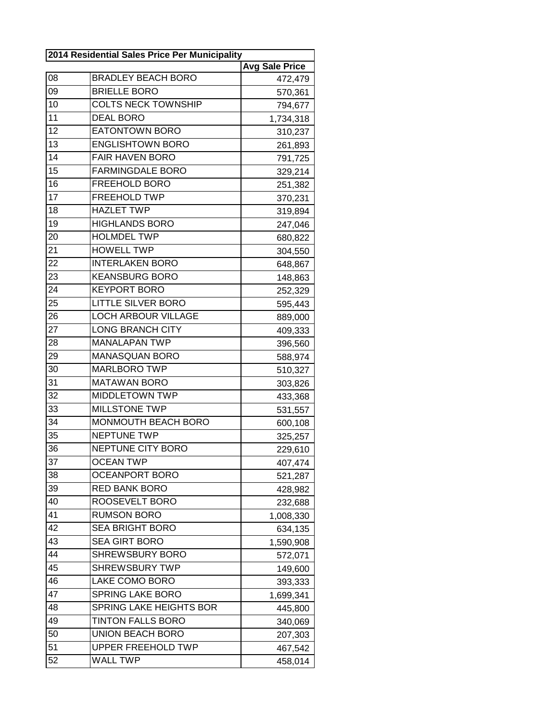| 2014 Residential Sales Price Per Municipality |                            |                       |
|-----------------------------------------------|----------------------------|-----------------------|
|                                               |                            | <b>Avg Sale Price</b> |
| 08                                            | <b>BRADLEY BEACH BORO</b>  | 472,479               |
| 09                                            | <b>BRIELLE BORO</b>        | 570,361               |
| 10                                            | <b>COLTS NECK TOWNSHIP</b> | 794,677               |
| 11                                            | <b>DEAL BORO</b>           | 1,734,318             |
| 12                                            | <b>EATONTOWN BORO</b>      | 310,237               |
| 13                                            | <b>ENGLISHTOWN BORO</b>    | 261,893               |
| 14                                            | <b>FAIR HAVEN BORO</b>     | 791,725               |
| 15                                            | <b>FARMINGDALE BORO</b>    | 329,214               |
| 16                                            | FREEHOLD BORO              | 251,382               |
| 17                                            | <b>FREEHOLD TWP</b>        | 370,231               |
| 18                                            | <b>HAZLET TWP</b>          | 319,894               |
| 19                                            | <b>HIGHLANDS BORO</b>      | 247,046               |
| 20                                            | <b>HOLMDEL TWP</b>         | 680,822               |
| 21                                            | <b>HOWELL TWP</b>          | 304,550               |
| 22                                            | <b>INTERLAKEN BORO</b>     | 648,867               |
| 23                                            | <b>KEANSBURG BORO</b>      | 148,863               |
| 24                                            | <b>KEYPORT BORO</b>        | 252,329               |
| 25                                            | <b>LITTLE SILVER BORO</b>  | 595,443               |
| 26                                            | <b>LOCH ARBOUR VILLAGE</b> | 889,000               |
| 27                                            | <b>LONG BRANCH CITY</b>    | 409,333               |
| 28                                            | <b>MANALAPAN TWP</b>       | 396,560               |
| 29                                            | <b>MANASQUAN BORO</b>      | 588,974               |
| 30                                            | <b>MARLBORO TWP</b>        | 510,327               |
| 31                                            | <b>MATAWAN BORO</b>        | 303,826               |
| 32                                            | <b>MIDDLETOWN TWP</b>      | 433,368               |
| 33                                            | <b>MILLSTONE TWP</b>       | 531,557               |
| 34                                            | MONMOUTH BEACH BORO        | 600,108               |
| 35                                            | <b>NEPTUNE TWP</b>         | 325,257               |
| 36                                            | NEPTUNE CITY BORO          | 229,610               |
| 37                                            | <b>OCEAN TWP</b>           | 407,474               |
| 38                                            | <b>OCEANPORT BORO</b>      | 521,287               |
| 39                                            | <b>RED BANK BORO</b>       | 428,982               |
| 40                                            | ROOSEVELT BORO             | 232,688               |
| 41                                            | <b>RUMSON BORO</b>         | 1,008,330             |
| 42                                            | <b>SEA BRIGHT BORO</b>     | 634,135               |
| 43                                            | <b>SEA GIRT BORO</b>       | 1,590,908             |
| 44                                            | <b>SHREWSBURY BORO</b>     | 572,071               |
| 45                                            | <b>SHREWSBURY TWP</b>      | 149,600               |
| 46                                            | LAKE COMO BORO             | 393,333               |
| 47                                            | <b>SPRING LAKE BORO</b>    | 1,699,341             |
| 48                                            | SPRING LAKE HEIGHTS BOR    | 445,800               |
| 49                                            | <b>TINTON FALLS BORO</b>   | 340,069               |
| 50                                            | <b>UNION BEACH BORO</b>    | 207,303               |
| 51                                            | <b>UPPER FREEHOLD TWP</b>  | 467,542               |
| 52                                            | <b>WALL TWP</b>            | 458,014               |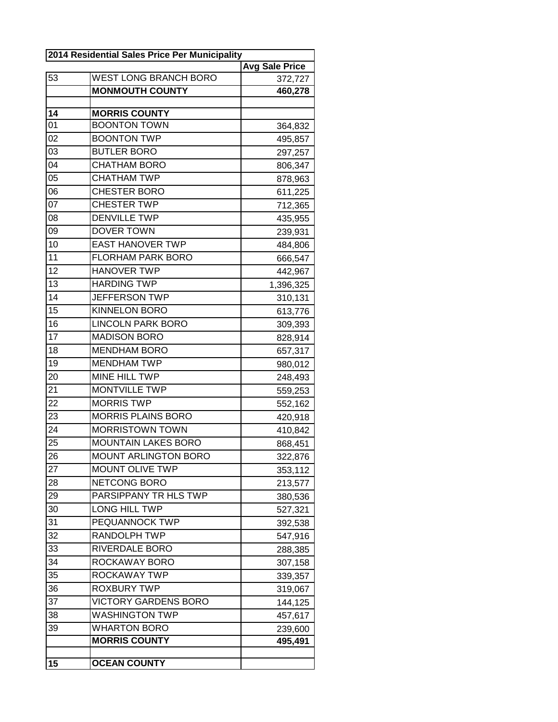| 2014 Residential Sales Price Per Municipality |                              |                       |
|-----------------------------------------------|------------------------------|-----------------------|
|                                               |                              | <b>Avg Sale Price</b> |
| 53                                            | <b>WEST LONG BRANCH BORO</b> | 372,727               |
|                                               | <b>MONMOUTH COUNTY</b>       | 460,278               |
| $\overline{14}$                               | <b>MORRIS COUNTY</b>         |                       |
| 0 <sub>1</sub>                                | <b>BOONTON TOWN</b>          | 364,832               |
| 02                                            | <b>BOONTON TWP</b>           | 495,857               |
| 03                                            | <b>BUTLER BORO</b>           | 297,257               |
| 04                                            | <b>CHATHAM BORO</b>          | 806,347               |
| 05                                            | <b>CHATHAM TWP</b>           | 878,963               |
| 06                                            | <b>CHESTER BORO</b>          | 611,225               |
| $\overline{07}$                               | <b>CHESTER TWP</b>           | 712,365               |
| 08                                            | <b>DENVILLE TWP</b>          | 435,955               |
| 09                                            | DOVER TOWN                   | 239,931               |
| 10                                            | <b>EAST HANOVER TWP</b>      | 484,806               |
| 11                                            | <b>FLORHAM PARK BORO</b>     | 666,547               |
| 12                                            | <b>HANOVER TWP</b>           | 442,967               |
| 13                                            | <b>HARDING TWP</b>           | 1,396,325             |
| 14                                            | JEFFERSON TWP                | 310,131               |
| 15                                            | <b>KINNELON BORO</b>         | 613,776               |
| 16                                            | <b>LINCOLN PARK BORO</b>     | 309,393               |
| 17                                            | <b>MADISON BORO</b>          | 828,914               |
| 18                                            | <b>MENDHAM BORO</b>          | 657,317               |
| 19                                            | <b>MENDHAM TWP</b>           | 980,012               |
| 20                                            | MINE HILL TWP                | 248,493               |
| 21                                            | MONTVILLE TWP                | 559,253               |
| 22                                            | <b>MORRIS TWP</b>            | 552,162               |
| 23                                            | <b>MORRIS PLAINS BORO</b>    | 420,918               |
| 24                                            | <b>MORRISTOWN TOWN</b>       | 410,842               |
| 25                                            | <b>MOUNTAIN LAKES BORO</b>   | 868,451               |
| 26                                            | <b>MOUNT ARLINGTON BORO</b>  | 322,876               |
| 27                                            | MOUNT OLIVE TWP              | 353,112               |
| 28                                            | <b>NETCONG BORO</b>          | 213,577               |
| 29                                            | PARSIPPANY TR HLS TWP        | 380,536               |
| 30                                            | LONG HILL TWP                | 527,321               |
| 31                                            | PEQUANNOCK TWP               | 392,538               |
| 32                                            | RANDOLPH TWP                 | 547,916               |
| 33                                            | RIVERDALE BORO               | 288,385               |
| 34                                            | ROCKAWAY BORO                | 307,158               |
| 35                                            | ROCKAWAY TWP                 | 339,357               |
| 36                                            | ROXBURY TWP                  | 319,067               |
| 37                                            | <b>VICTORY GARDENS BORO</b>  | 144,125               |
| 38                                            | <b>WASHINGTON TWP</b>        | 457,617               |
| 39                                            | <b>WHARTON BORO</b>          | 239,600               |
|                                               | <b>MORRIS COUNTY</b>         | 495,491               |
|                                               |                              |                       |
| 15                                            | <b>OCEAN COUNTY</b>          |                       |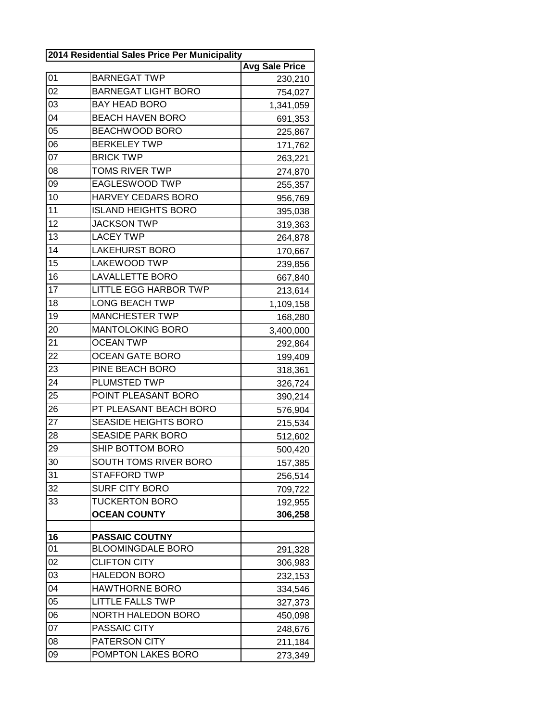| 2014 Residential Sales Price Per Municipality |                              |                       |
|-----------------------------------------------|------------------------------|-----------------------|
|                                               |                              | <b>Avg Sale Price</b> |
| 01                                            | <b>BARNEGAT TWP</b>          | 230,210               |
| 02                                            | <b>BARNEGAT LIGHT BORO</b>   | 754,027               |
| 03                                            | <b>BAY HEAD BORO</b>         | 1,341,059             |
| 04                                            | <b>BEACH HAVEN BORO</b>      | 691,353               |
| 05                                            | <b>BEACHWOOD BORO</b>        | 225,867               |
| 06                                            | <b>BERKELEY TWP</b>          | 171,762               |
| 07                                            | <b>BRICK TWP</b>             | 263,221               |
| 08                                            | <b>TOMS RIVER TWP</b>        | 274,870               |
| 09                                            | <b>EAGLESWOOD TWP</b>        | 255,357               |
| 10                                            | HARVEY CEDARS BORO           | 956,769               |
| 11                                            | <b>ISLAND HEIGHTS BORO</b>   | 395,038               |
| 12                                            | <b>JACKSON TWP</b>           | 319,363               |
| 13                                            | <b>LACEY TWP</b>             | 264,878               |
| 14                                            | <b>LAKEHURST BORO</b>        | 170,667               |
| 15                                            | <b>LAKEWOOD TWP</b>          | 239,856               |
| 16                                            | <b>LAVALLETTE BORO</b>       | 667,840               |
| 17                                            | <b>LITTLE EGG HARBOR TWP</b> | 213,614               |
| 18                                            | <b>LONG BEACH TWP</b>        | 1,109,158             |
| 19                                            | <b>MANCHESTER TWP</b>        | 168,280               |
| 20                                            | <b>MANTOLOKING BORO</b>      | 3,400,000             |
| 21                                            | <b>OCEAN TWP</b>             | 292,864               |
| 22                                            | <b>OCEAN GATE BORO</b>       | 199,409               |
| 23                                            | PINE BEACH BORO              | 318,361               |
| 24                                            | PLUMSTED TWP                 | 326,724               |
| 25                                            | POINT PLEASANT BORO          | 390,214               |
| 26                                            | PT PLEASANT BEACH BORO       | 576,904               |
| 27                                            | <b>SEASIDE HEIGHTS BORO</b>  | 215,534               |
| 28                                            | <b>SEASIDE PARK BORO</b>     | 512,602               |
| 29                                            | SHIP BOTTOM BORO             | 500,420               |
| 30                                            | SOUTH TOMS RIVER BORO        | 157,385               |
| 31                                            | <b>STAFFORD TWP</b>          | 256,514               |
| 32                                            | <b>SURF CITY BORO</b>        | 709,722               |
| 33                                            | <b>TUCKERTON BORO</b>        | 192,955               |
|                                               | <b>OCEAN COUNTY</b>          | 306,258               |
| 16                                            | <b>PASSAIC COUTNY</b>        |                       |
| 01                                            | <b>BLOOMINGDALE BORO</b>     | 291,328               |
| 02                                            | <b>CLIFTON CITY</b>          | 306,983               |
| 03                                            | <b>HALEDON BORO</b>          | 232,153               |
| 04                                            | <b>HAWTHORNE BORO</b>        | 334,546               |
| 05                                            | <b>LITTLE FALLS TWP</b>      | 327,373               |
| 06                                            | <b>NORTH HALEDON BORO</b>    | 450,098               |
| 07                                            | PASSAIC CITY                 | 248,676               |
| 08                                            | PATERSON CITY                | 211,184               |
| 09                                            | POMPTON LAKES BORO           | 273,349               |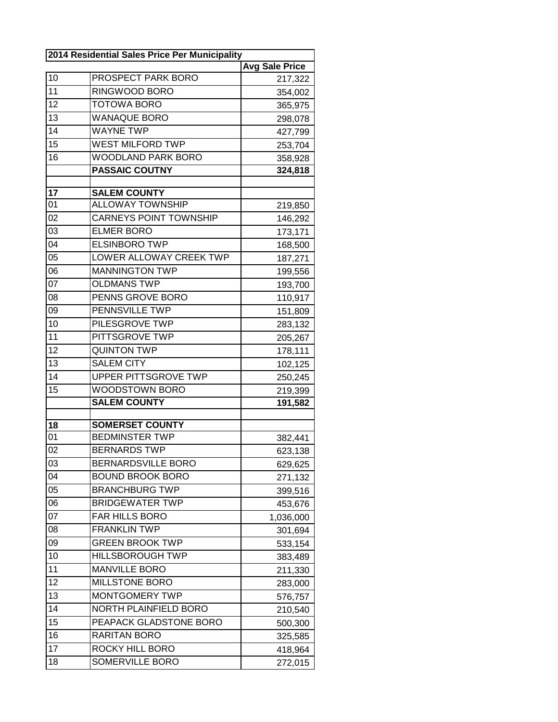| 2014 Residential Sales Price Per Municipality |                               |                       |
|-----------------------------------------------|-------------------------------|-----------------------|
|                                               |                               | <b>Avg Sale Price</b> |
| 10                                            | PROSPECT PARK BORO            | 217,322               |
| 11                                            | RINGWOOD BORO                 | 354,002               |
| 12                                            | <b>TOTOWA BORO</b>            | 365,975               |
| 13                                            | <b>WANAQUE BORO</b>           | 298,078               |
| 14                                            | <b>WAYNE TWP</b>              | 427,799               |
| 15                                            | <b>WEST MILFORD TWP</b>       | 253,704               |
| 16                                            | <b>WOODLAND PARK BORO</b>     | 358,928               |
|                                               | <b>PASSAIC COUTNY</b>         | 324,818               |
|                                               |                               |                       |
| 17                                            | <b>SALEM COUNTY</b>           |                       |
| 01                                            | <b>ALLOWAY TOWNSHIP</b>       | 219,850               |
| 02                                            | <b>CARNEYS POINT TOWNSHIP</b> | 146,292               |
| 03                                            | <b>ELMER BORO</b>             | 173,171               |
| $\overline{04}$                               | <b>ELSINBORO TWP</b>          | 168,500               |
| 05                                            | LOWER ALLOWAY CREEK TWP       | 187,271               |
| 06                                            | <b>MANNINGTON TWP</b>         | 199,556               |
| 07                                            | <b>OLDMANS TWP</b>            | 193,700               |
| 08                                            | PENNS GROVE BORO              | 110,917               |
| 09                                            | PENNSVILLE TWP                | 151,809               |
| 10                                            | PILESGROVE TWP                | 283,132               |
| 11                                            | PITTSGROVE TWP                | 205,267               |
| 12                                            | <b>QUINTON TWP</b>            | 178,111               |
| 13                                            | <b>SALEM CITY</b>             | 102,125               |
| 14                                            | <b>UPPER PITTSGROVE TWP</b>   | 250,245               |
| 15                                            | WOODSTOWN BORO                | 219,399               |
|                                               | <b>SALEM COUNTY</b>           | 191,582               |
|                                               |                               |                       |
| 18                                            | <b>SOMERSET COUNTY</b>        |                       |
| 01                                            | <b>BEDMINSTER TWP</b>         | 382,441               |
| 02                                            | <b>BERNARDS TWP</b>           | 623,138               |
| 03                                            | <b>BERNARDSVILLE BORO</b>     | 629,625               |
| 04                                            | <b>BOUND BROOK BORO</b>       | 271,132               |
| 05                                            | <b>BRANCHBURG TWP</b>         | 399,516               |
| 06                                            | <b>BRIDGEWATER TWP</b>        | 453,676               |
| 07                                            | FAR HILLS BORO                | 1,036,000             |
| 08                                            | <b>FRANKLIN TWP</b>           | 301,694               |
| 09                                            | <b>GREEN BROOK TWP</b>        | 533,154               |
| 10                                            | <b>HILLSBOROUGH TWP</b>       | 383,489               |
| 11                                            | <b>MANVILLE BORO</b>          | 211,330               |
| 12                                            | MILLSTONE BORO                | 283,000               |
| 13                                            | MONTGOMERY TWP                | 576,757               |
| 14                                            | NORTH PLAINFIELD BORO         | 210,540               |
| 15                                            | PEAPACK GLADSTONE BORO        | 500,300               |
| 16                                            | RARITAN BORO                  | 325,585               |
| 17                                            | ROCKY HILL BORO               | 418,964               |
| 18                                            | SOMERVILLE BORO               | 272,015               |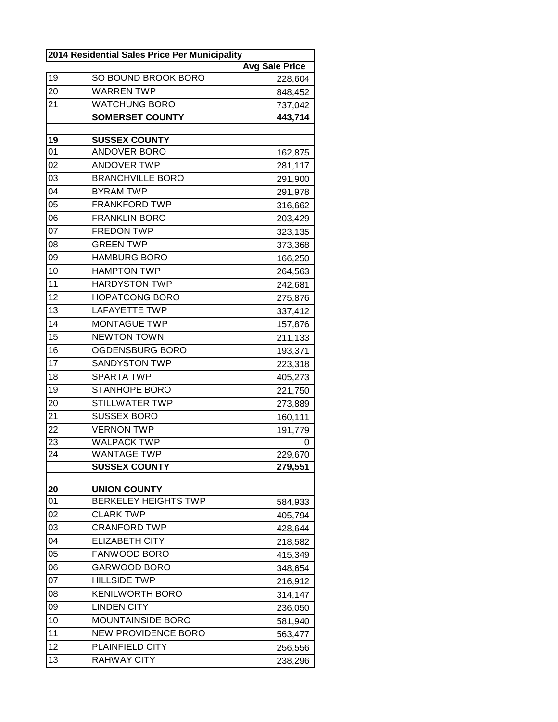| 2014 Residential Sales Price Per Municipality |                             |                       |  |
|-----------------------------------------------|-----------------------------|-----------------------|--|
|                                               |                             | <b>Avg Sale Price</b> |  |
| 19                                            | SO BOUND BROOK BORO         | 228,604               |  |
| 20                                            | <b>WARREN TWP</b>           | 848,452               |  |
| 21                                            | <b>WATCHUNG BORO</b>        | 737,042               |  |
|                                               | <b>SOMERSET COUNTY</b>      | 443,714               |  |
|                                               |                             |                       |  |
| 19                                            | <b>SUSSEX COUNTY</b>        |                       |  |
| 01                                            | ANDOVER BORO                | 162,875               |  |
| 02                                            | <b>ANDOVER TWP</b>          | 281,117               |  |
| 03                                            | <b>BRANCHVILLE BORO</b>     | 291,900               |  |
| 04                                            | <b>BYRAM TWP</b>            | 291,978               |  |
| 05                                            | <b>FRANKFORD TWP</b>        | 316,662               |  |
| 06                                            | <b>FRANKLIN BORO</b>        | 203,429               |  |
| 07                                            | <b>FREDON TWP</b>           | 323,135               |  |
| 08                                            | <b>GREEN TWP</b>            | 373,368               |  |
| 09                                            | <b>HAMBURG BORO</b>         | 166,250               |  |
| 10                                            | <b>HAMPTON TWP</b>          | 264,563               |  |
| 11                                            | <b>HARDYSTON TWP</b>        | 242,681               |  |
| 12                                            | <b>HOPATCONG BORO</b>       | 275,876               |  |
| 13                                            | <b>LAFAYETTE TWP</b>        | 337,412               |  |
| 14                                            | <b>MONTAGUE TWP</b>         | 157,876               |  |
| 15                                            | <b>NEWTON TOWN</b>          | 211,133               |  |
| 16                                            | OGDENSBURG BORO             | 193,371               |  |
| 17                                            | <b>SANDYSTON TWP</b>        | 223,318               |  |
| 18                                            | <b>SPARTA TWP</b>           | 405,273               |  |
| 19                                            | <b>STANHOPE BORO</b>        | 221,750               |  |
| 20                                            | <b>STILLWATER TWP</b>       | 273,889               |  |
| 21                                            | <b>SUSSEX BORO</b>          | 160,111               |  |
| 22                                            | <b>VERNON TWP</b>           | 191,779               |  |
| 23                                            | <b>WALPACK TWP</b>          | 0                     |  |
| 24                                            | <b>WANTAGE TWP</b>          | 229,670               |  |
|                                               | <b>SUSSEX COUNTY</b>        | 279,551               |  |
|                                               |                             |                       |  |
| 20                                            | <b>UNION COUNTY</b>         |                       |  |
| 01                                            | <b>BERKELEY HEIGHTS TWP</b> | 584,933               |  |
| 02                                            | <b>CLARK TWP</b>            | 405,794               |  |
| 03                                            | <b>CRANFORD TWP</b>         | 428,644               |  |
| 04                                            | <b>ELIZABETH CITY</b>       | 218,582               |  |
| 05                                            | FANWOOD BORO                | 415,349               |  |
| 06                                            | GARWOOD BORO                | 348,654               |  |
| 07                                            | <b>HILLSIDE TWP</b>         | 216,912               |  |
| 08                                            | <b>KENILWORTH BORO</b>      | 314,147               |  |
| 09                                            | <b>LINDEN CITY</b>          | 236,050               |  |
| 10                                            | MOUNTAINSIDE BORO           | 581,940               |  |
| 11                                            | <b>NEW PROVIDENCE BORO</b>  | 563,477               |  |
| 12                                            | PLAINFIELD CITY             | 256,556               |  |
| 13                                            | <b>RAHWAY CITY</b>          | 238,296               |  |